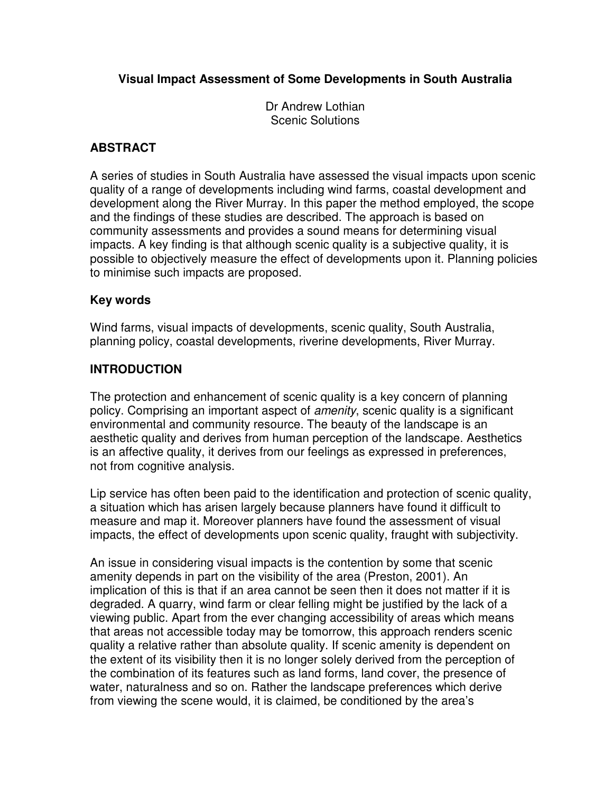# **Visual Impact Assessment of Some Developments in South Australia**

Dr Andrew Lothian Scenic Solutions

#### **ABSTRACT**

A series of studies in South Australia have assessed the visual impacts upon scenic quality of a range of developments including wind farms, coastal development and development along the River Murray. In this paper the method employed, the scope and the findings of these studies are described. The approach is based on community assessments and provides a sound means for determining visual impacts. A key finding is that although scenic quality is a subjective quality, it is possible to objectively measure the effect of developments upon it. Planning policies to minimise such impacts are proposed.

#### **Key words**

Wind farms, visual impacts of developments, scenic quality, South Australia, planning policy, coastal developments, riverine developments, River Murray.

#### **INTRODUCTION**

The protection and enhancement of scenic quality is a key concern of planning policy. Comprising an important aspect of *amenity*, scenic quality is a significant environmental and community resource. The beauty of the landscape is an aesthetic quality and derives from human perception of the landscape. Aesthetics is an affective quality, it derives from our feelings as expressed in preferences, not from cognitive analysis.

Lip service has often been paid to the identification and protection of scenic quality, a situation which has arisen largely because planners have found it difficult to measure and map it. Moreover planners have found the assessment of visual impacts, the effect of developments upon scenic quality, fraught with subjectivity.

An issue in considering visual impacts is the contention by some that scenic amenity depends in part on the visibility of the area (Preston, 2001). An implication of this is that if an area cannot be seen then it does not matter if it is degraded. A quarry, wind farm or clear felling might be justified by the lack of a viewing public. Apart from the ever changing accessibility of areas which means that areas not accessible today may be tomorrow, this approach renders scenic quality a relative rather than absolute quality. If scenic amenity is dependent on the extent of its visibility then it is no longer solely derived from the perception of the combination of its features such as land forms, land cover, the presence of water, naturalness and so on. Rather the landscape preferences which derive from viewing the scene would, it is claimed, be conditioned by the area's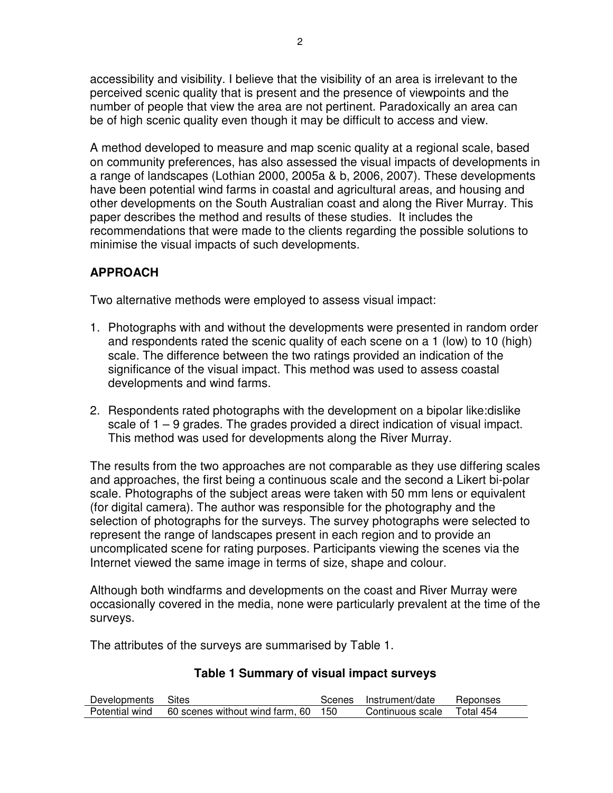accessibility and visibility. I believe that the visibility of an area is irrelevant to the perceived scenic quality that is present and the presence of viewpoints and the number of people that view the area are not pertinent. Paradoxically an area can be of high scenic quality even though it may be difficult to access and view.

A method developed to measure and map scenic quality at a regional scale, based on community preferences, has also assessed the visual impacts of developments in a range of landscapes (Lothian 2000, 2005a & b, 2006, 2007). These developments have been potential wind farms in coastal and agricultural areas, and housing and other developments on the South Australian coast and along the River Murray. This paper describes the method and results of these studies. It includes the recommendations that were made to the clients regarding the possible solutions to minimise the visual impacts of such developments.

# **APPROACH**

Two alternative methods were employed to assess visual impact:

- 1. Photographs with and without the developments were presented in random order and respondents rated the scenic quality of each scene on a 1 (low) to 10 (high) scale. The difference between the two ratings provided an indication of the significance of the visual impact. This method was used to assess coastal developments and wind farms.
- 2. Respondents rated photographs with the development on a bipolar like:dislike scale of 1 – 9 grades. The grades provided a direct indication of visual impact. This method was used for developments along the River Murray.

The results from the two approaches are not comparable as they use differing scales and approaches, the first being a continuous scale and the second a Likert bi-polar scale. Photographs of the subject areas were taken with 50 mm lens or equivalent (for digital camera). The author was responsible for the photography and the selection of photographs for the surveys. The survey photographs were selected to represent the range of landscapes present in each region and to provide an uncomplicated scene for rating purposes. Participants viewing the scenes via the Internet viewed the same image in terms of size, shape and colour.

Although both windfarms and developments on the coast and River Murray were occasionally covered in the media, none were particularly prevalent at the time of the surveys.

The attributes of the surveys are summarised by Table 1.

# **Table 1 Summary of visual impact surveys**

| Developments Sites |                                     | Scenes | Instrument/date  | Reponses  |
|--------------------|-------------------------------------|--------|------------------|-----------|
| Potential wind     | 60 scenes without wind farm, 60 150 |        | Continuous scale | Total 454 |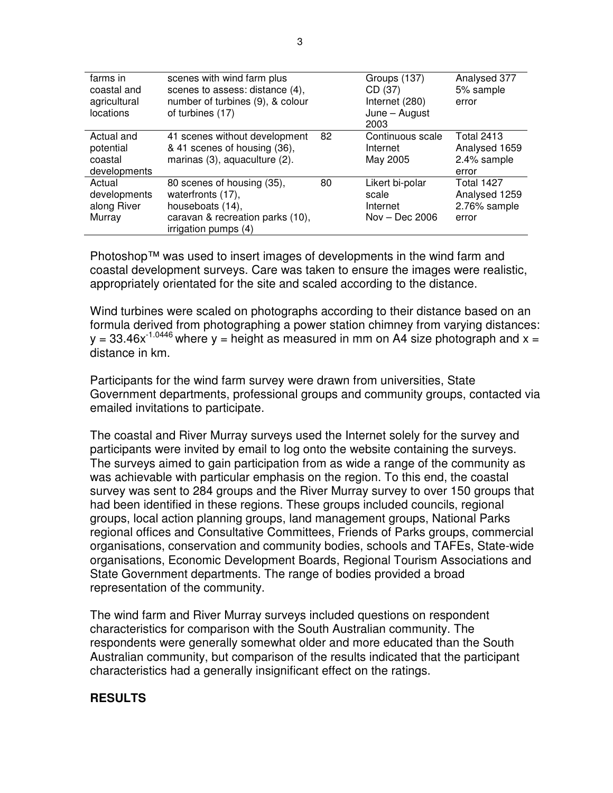| farms in<br>coastal and<br>agricultural<br>locations | scenes with wind farm plus<br>scenes to assess: distance (4),<br>number of turbines (9), & colour<br>of turbines (17)           |    | Groups (137)<br>CD (37)<br>Internet (280)<br>June – August<br>2003 | Analysed 377<br>5% sample<br>error                          |
|------------------------------------------------------|---------------------------------------------------------------------------------------------------------------------------------|----|--------------------------------------------------------------------|-------------------------------------------------------------|
| Actual and<br>potential<br>coastal<br>developments   | 41 scenes without development<br>& 41 scenes of housing (36),<br>marinas (3), aquaculture (2).                                  | 82 | Continuous scale<br>Internet<br>May 2005                           | <b>Total 2413</b><br>Analysed 1659<br>2.4% sample<br>error  |
| Actual<br>developments<br>along River<br>Murray      | 80 scenes of housing (35),<br>waterfronts (17),<br>houseboats (14),<br>caravan & recreation parks (10),<br>irrigation pumps (4) | 80 | Likert bi-polar<br>scale<br>Internet<br>$Nov - Dec 2006$           | <b>Total 1427</b><br>Analysed 1259<br>2.76% sample<br>error |

Photoshop™ was used to insert images of developments in the wind farm and coastal development surveys. Care was taken to ensure the images were realistic, appropriately orientated for the site and scaled according to the distance.

Wind turbines were scaled on photographs according to their distance based on an formula derived from photographing a power station chimney from varying distances:  $y = 33.46x^{-1.0446}$  where y = height as measured in mm on A4 size photograph and x = distance in km.

Participants for the wind farm survey were drawn from universities, State Government departments, professional groups and community groups, contacted via emailed invitations to participate.

The coastal and River Murray surveys used the Internet solely for the survey and participants were invited by email to log onto the website containing the surveys. The surveys aimed to gain participation from as wide a range of the community as was achievable with particular emphasis on the region. To this end, the coastal survey was sent to 284 groups and the River Murray survey to over 150 groups that had been identified in these regions. These groups included councils, regional groups, local action planning groups, land management groups, National Parks regional offices and Consultative Committees, Friends of Parks groups, commercial organisations, conservation and community bodies, schools and TAFEs, State-wide organisations, Economic Development Boards, Regional Tourism Associations and State Government departments. The range of bodies provided a broad representation of the community.

The wind farm and River Murray surveys included questions on respondent characteristics for comparison with the South Australian community. The respondents were generally somewhat older and more educated than the South Australian community, but comparison of the results indicated that the participant characteristics had a generally insignificant effect on the ratings.

# **RESULTS**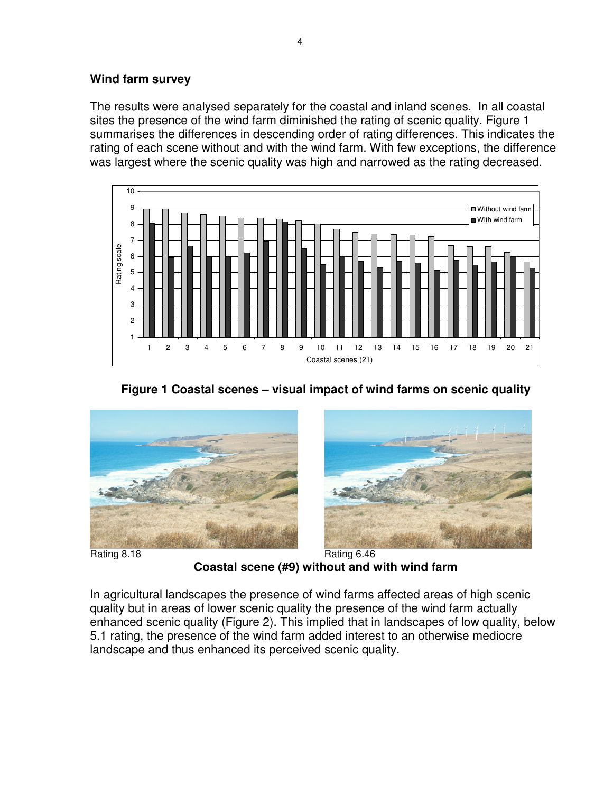#### **Wind farm survey**

The results were analysed separately for the coastal and inland scenes. In all coastal sites the presence of the wind farm diminished the rating of scenic quality. Figure 1 summarises the differences in descending order of rating differences. This indicates the rating of each scene without and with the wind farm. With few exceptions, the difference was largest where the scenic quality was high and narrowed as the rating decreased.









Rating 8.18 Rating 6.46 **Coastal scene (#9) without and with wind farm** 

In agricultural landscapes the presence of wind farms affected areas of high scenic quality but in areas of lower scenic quality the presence of the wind farm actually enhanced scenic quality (Figure 2). This implied that in landscapes of low quality, below 5.1 rating, the presence of the wind farm added interest to an otherwise mediocre landscape and thus enhanced its perceived scenic quality.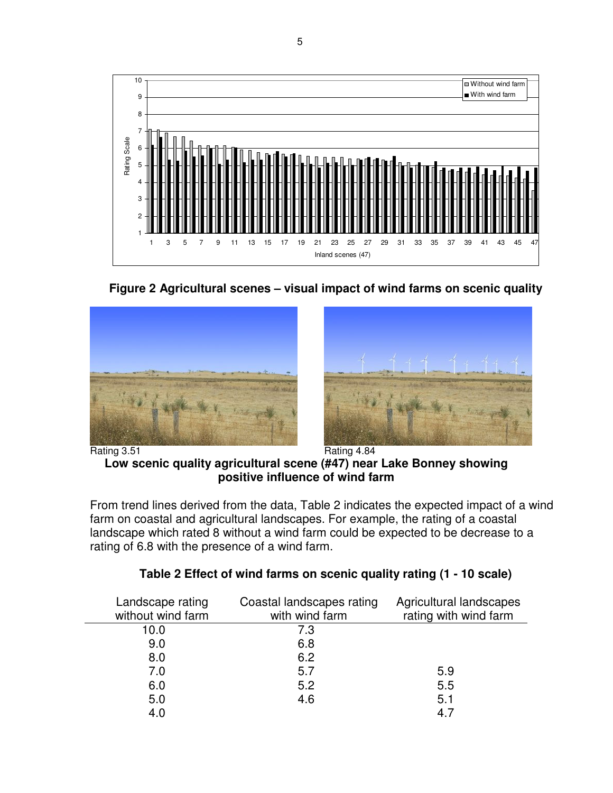

**Figure 2 Agricultural scenes – visual impact of wind farms on scenic quality** 





Rating 3.51 Rating 4.84 **Low scenic quality agricultural scene (#47) near Lake Bonney showing** 

From trend lines derived from the data, Table 2 indicates the expected impact of a wind farm on coastal and agricultural landscapes. For example, the rating of a coastal landscape which rated 8 without a wind farm could be expected to be decrease to a rating of 6.8 with the presence of a wind farm.

**positive influence of wind farm** 

| Landscape rating<br>without wind farm | Coastal landscapes rating<br>with wind farm | Agricultural landscapes<br>rating with wind farm |
|---------------------------------------|---------------------------------------------|--------------------------------------------------|
| 10.0                                  | 7.3                                         |                                                  |
| 9.0                                   | 6.8                                         |                                                  |
| 8.0                                   | 6.2                                         |                                                  |
| 7.0                                   | 5.7                                         | 5.9                                              |
| 6.0                                   | 5.2                                         | 5.5                                              |
| 5.0                                   | 4.6                                         | 5.1                                              |
| 4.0                                   |                                             | 4.                                               |

| Table 2 Effect of wind farms on scenic quality rating (1 - 10 scale) |
|----------------------------------------------------------------------|
|----------------------------------------------------------------------|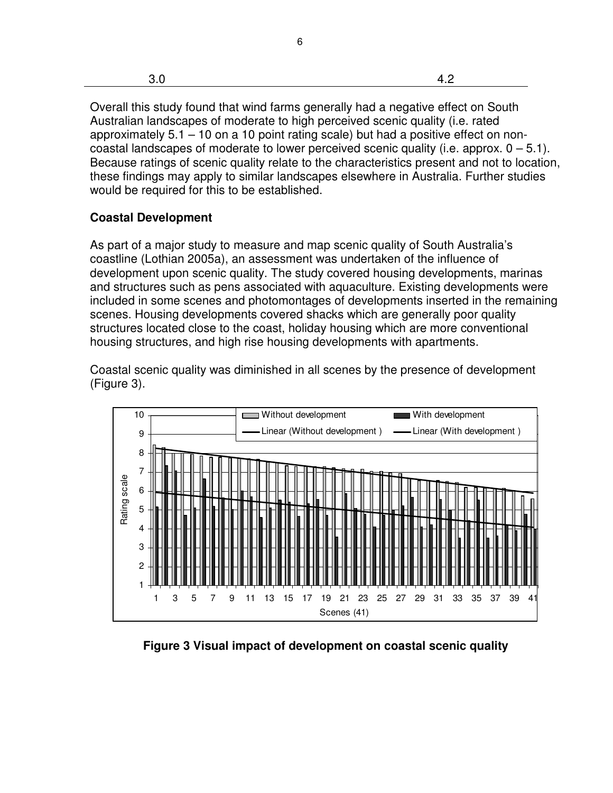|--|--|

6

Overall this study found that wind farms generally had a negative effect on South Australian landscapes of moderate to high perceived scenic quality (i.e. rated approximately 5.1 – 10 on a 10 point rating scale) but had a positive effect on noncoastal landscapes of moderate to lower perceived scenic quality (i.e. approx.  $0 - 5.1$ ). Because ratings of scenic quality relate to the characteristics present and not to location, these findings may apply to similar landscapes elsewhere in Australia. Further studies would be required for this to be established.

# **Coastal Development**

As part of a major study to measure and map scenic quality of South Australia's coastline (Lothian 2005a), an assessment was undertaken of the influence of development upon scenic quality. The study covered housing developments, marinas and structures such as pens associated with aquaculture. Existing developments were included in some scenes and photomontages of developments inserted in the remaining scenes. Housing developments covered shacks which are generally poor quality structures located close to the coast, holiday housing which are more conventional housing structures, and high rise housing developments with apartments.

Coastal scenic quality was diminished in all scenes by the presence of development (Figure 3).



**Figure 3 Visual impact of development on coastal scenic quality**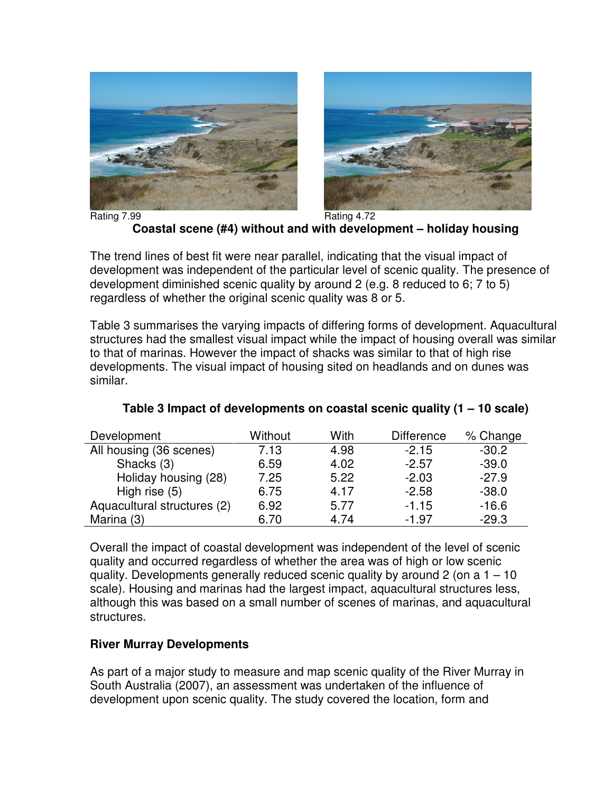



Rating 7.99 Rating 4.72 **Coastal scene (#4) without and with development – holiday housing** 

The trend lines of best fit were near parallel, indicating that the visual impact of development was independent of the particular level of scenic quality. The presence of development diminished scenic quality by around 2 (e.g. 8 reduced to 6; 7 to 5) regardless of whether the original scenic quality was 8 or 5.

Table 3 summarises the varying impacts of differing forms of development. Aquacultural structures had the smallest visual impact while the impact of housing overall was similar to that of marinas. However the impact of shacks was similar to that of high rise developments. The visual impact of housing sited on headlands and on dunes was similar.

| Development                 | Without | With | <b>Difference</b> | % Change |
|-----------------------------|---------|------|-------------------|----------|
| All housing (36 scenes)     | 7.13    | 4.98 | $-2.15$           | $-30.2$  |
| Shacks (3)                  | 6.59    | 4.02 | $-2.57$           | $-39.0$  |
| Holiday housing (28)        | 7.25    | 5.22 | $-2.03$           | $-27.9$  |
| High rise (5)               | 6.75    | 4.17 | $-2.58$           | $-38.0$  |
| Aquacultural structures (2) | 6.92    | 5.77 | $-1.15$           | $-16.6$  |
| Marina (3)                  | 6.70    | 4.74 | -1.97             | $-29.3$  |

### **Table 3 Impact of developments on coastal scenic quality (1 – 10 scale)**

Overall the impact of coastal development was independent of the level of scenic quality and occurred regardless of whether the area was of high or low scenic quality. Developments generally reduced scenic quality by around 2 (on a 1 – 10 scale). Housing and marinas had the largest impact, aquacultural structures less, although this was based on a small number of scenes of marinas, and aquacultural structures.

# **River Murray Developments**

As part of a major study to measure and map scenic quality of the River Murray in South Australia (2007), an assessment was undertaken of the influence of development upon scenic quality. The study covered the location, form and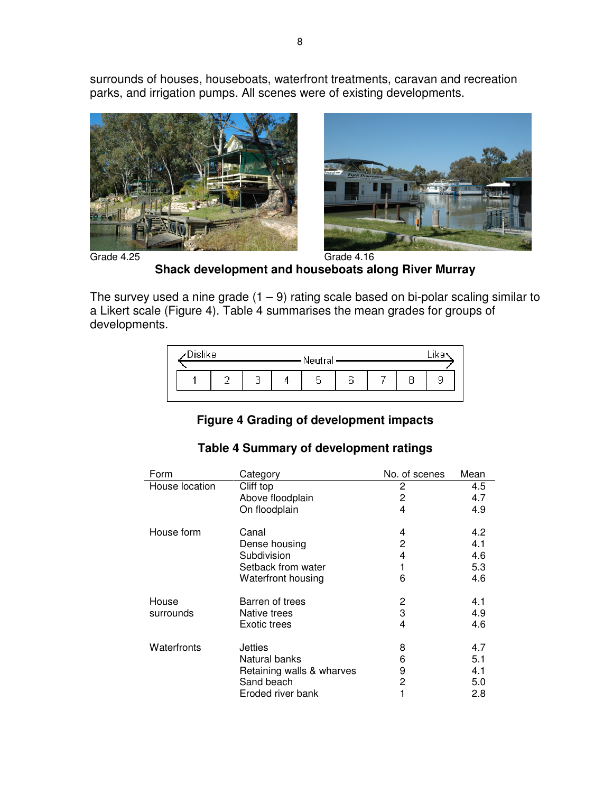surrounds of houses, houseboats, waterfront treatments, caravan and recreation parks, and irrigation pumps. All scenes were of existing developments.





Grade 4.25 Grade 4.16 **Shack development and houseboats along River Murray**

The survey used a nine grade  $(1 – 9)$  rating scale based on bi-polar scaling similar to a Likert scale (Figure 4). Table 4 summarises the mean grades for groups of developments.

| Dislike<br>Neutral |  |  |  |   |  |   |
|--------------------|--|--|--|---|--|---|
|                    |  |  |  |   |  |   |
|                    |  |  |  | ∽ |  | c |

# **Figure 4 Grading of development impacts**

| Form           | Category                  | No. of scenes | Mean |
|----------------|---------------------------|---------------|------|
| House location | Cliff top                 | 2             | 4.5  |
|                | Above floodplain          | 2             | 4.7  |
|                | On floodplain             | 4             | 4.9  |
| House form     | Canal                     | 4             | 4.2  |
|                | Dense housing             | 2             | 4.1  |
|                | Subdivision               | 4             | 4.6  |
|                | Setback from water        |               | 5.3  |
|                | <b>Waterfront housing</b> | 6             | 4.6  |
| House          | Barren of trees           | 2             | 4.1  |
| surrounds      | Native trees              | 3             | 4.9  |
|                | Exotic trees              | 4             | 4.6  |
| Waterfronts    | <b>Jetties</b>            | 8             | 4.7  |
|                | Natural banks             | 6             | 5.1  |
|                | Retaining walls & wharves | 9             | 4.1  |
|                | Sand beach                | 2             | 5.0  |
|                | Eroded river bank         |               | 2.8  |

# **Table 4 Summary of development ratings**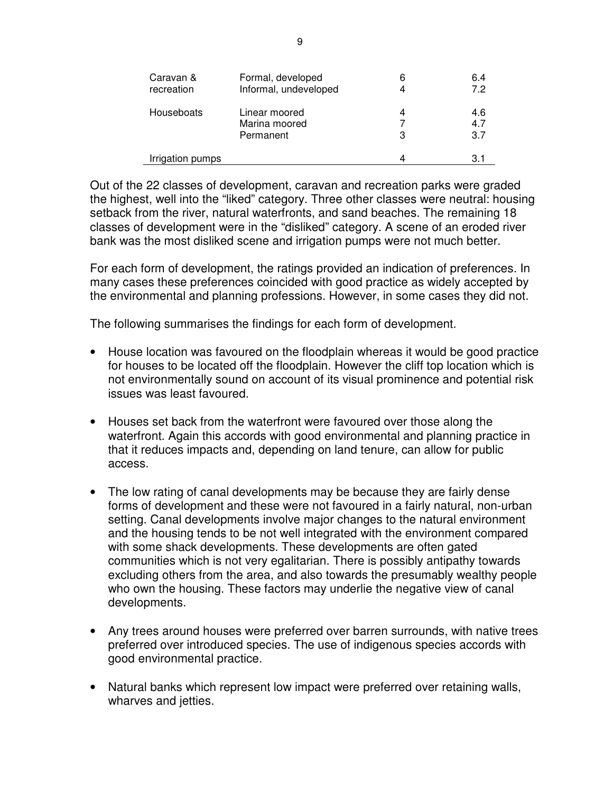| Caravan &<br>recreation | Formal, developed<br>Informal, undeveloped  | 6      | 6.4<br>72         |
|-------------------------|---------------------------------------------|--------|-------------------|
| Houseboats              | Linear moored<br>Marina moored<br>Permanent | 4<br>3 | 4.6<br>4.7<br>3.7 |
| Irrigation pumps        |                                             |        | 3.1               |

Out of the 22 classes of development, caravan and recreation parks were graded the highest, well into the "liked" category. Three other classes were neutral: housing setback from the river, natural waterfronts, and sand beaches. The remaining 18 classes of development were in the "disliked" category. A scene of an eroded river bank was the most disliked scene and irrigation pumps were not much better.

For each form of development, the ratings provided an indication of preferences. In many cases these preferences coincided with good practice as widely accepted by the environmental and planning professions. However, in some cases they did not.

The following summarises the findings for each form of development.

- House location was favoured on the floodplain whereas it would be good practice for houses to be located off the floodplain. However the cliff top location which is not environmentally sound on account of its visual prominence and potential risk issues was least favoured.
- Houses set back from the waterfront were favoured over those along the waterfront. Again this accords with good environmental and planning practice in that it reduces impacts and, depending on land tenure, can allow for public access.
- The low rating of canal developments may be because they are fairly dense forms of development and these were not favoured in a fairly natural, non-urban setting. Canal developments involve major changes to the natural environment and the housing tends to be not well integrated with the environment compared with some shack developments. These developments are often gated communities which is not very egalitarian. There is possibly antipathy towards excluding others from the area, and also towards the presumably wealthy people who own the housing. These factors may underlie the negative view of canal developments.
- Any trees around houses were preferred over barren surrounds, with native trees preferred over introduced species. The use of indigenous species accords with good environmental practice.
- Natural banks which represent low impact were preferred over retaining walls, wharves and jetties.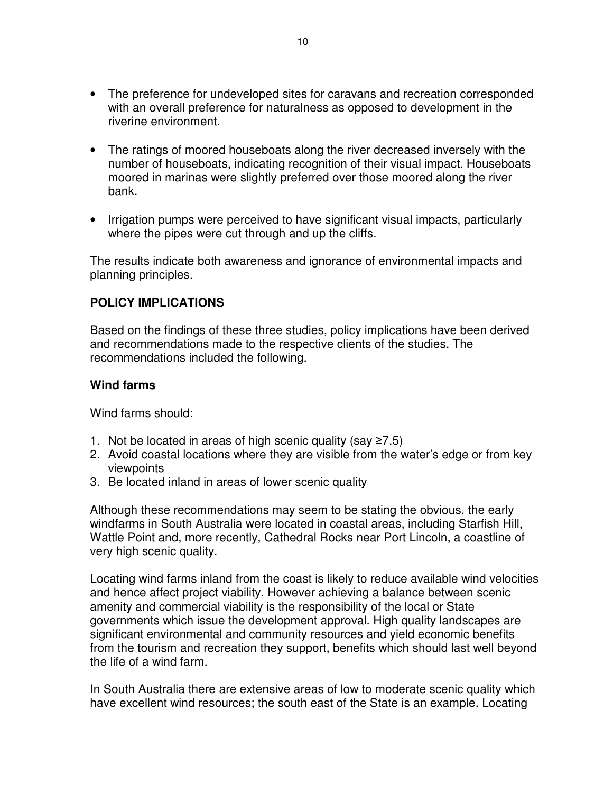- The preference for undeveloped sites for caravans and recreation corresponded with an overall preference for naturalness as opposed to development in the riverine environment.
- The ratings of moored houseboats along the river decreased inversely with the number of houseboats, indicating recognition of their visual impact. Houseboats moored in marinas were slightly preferred over those moored along the river bank.
- Irrigation pumps were perceived to have significant visual impacts, particularly where the pipes were cut through and up the cliffs.

The results indicate both awareness and ignorance of environmental impacts and planning principles.

#### **POLICY IMPLICATIONS**

Based on the findings of these three studies, policy implications have been derived and recommendations made to the respective clients of the studies. The recommendations included the following.

#### **Wind farms**

Wind farms should:

- 1. Not be located in areas of high scenic quality (say ≥7.5)
- 2. Avoid coastal locations where they are visible from the water's edge or from key viewpoints
- 3. Be located inland in areas of lower scenic quality

Although these recommendations may seem to be stating the obvious, the early windfarms in South Australia were located in coastal areas, including Starfish Hill, Wattle Point and, more recently, Cathedral Rocks near Port Lincoln, a coastline of very high scenic quality.

Locating wind farms inland from the coast is likely to reduce available wind velocities and hence affect project viability. However achieving a balance between scenic amenity and commercial viability is the responsibility of the local or State governments which issue the development approval. High quality landscapes are significant environmental and community resources and yield economic benefits from the tourism and recreation they support, benefits which should last well beyond the life of a wind farm.

In South Australia there are extensive areas of low to moderate scenic quality which have excellent wind resources; the south east of the State is an example. Locating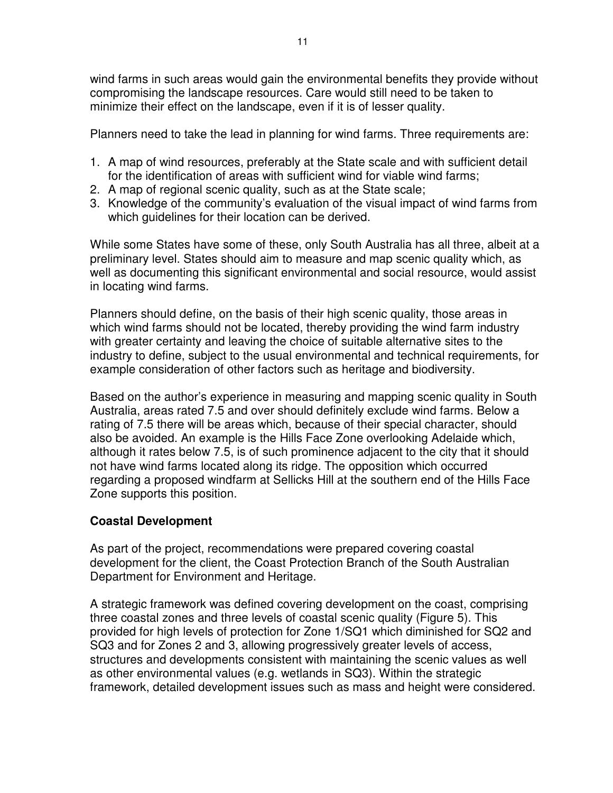wind farms in such areas would gain the environmental benefits they provide without compromising the landscape resources. Care would still need to be taken to minimize their effect on the landscape, even if it is of lesser quality.

Planners need to take the lead in planning for wind farms. Three requirements are:

- 1. A map of wind resources, preferably at the State scale and with sufficient detail for the identification of areas with sufficient wind for viable wind farms;
- 2. A map of regional scenic quality, such as at the State scale;
- 3. Knowledge of the community's evaluation of the visual impact of wind farms from which guidelines for their location can be derived.

While some States have some of these, only South Australia has all three, albeit at a preliminary level. States should aim to measure and map scenic quality which, as well as documenting this significant environmental and social resource, would assist in locating wind farms.

Planners should define, on the basis of their high scenic quality, those areas in which wind farms should not be located, thereby providing the wind farm industry with greater certainty and leaving the choice of suitable alternative sites to the industry to define, subject to the usual environmental and technical requirements, for example consideration of other factors such as heritage and biodiversity.

Based on the author's experience in measuring and mapping scenic quality in South Australia, areas rated 7.5 and over should definitely exclude wind farms. Below a rating of 7.5 there will be areas which, because of their special character, should also be avoided. An example is the Hills Face Zone overlooking Adelaide which, although it rates below 7.5, is of such prominence adjacent to the city that it should not have wind farms located along its ridge. The opposition which occurred regarding a proposed windfarm at Sellicks Hill at the southern end of the Hills Face Zone supports this position.

# **Coastal Development**

As part of the project, recommendations were prepared covering coastal development for the client, the Coast Protection Branch of the South Australian Department for Environment and Heritage.

A strategic framework was defined covering development on the coast, comprising three coastal zones and three levels of coastal scenic quality (Figure 5). This provided for high levels of protection for Zone 1/SQ1 which diminished for SQ2 and SQ3 and for Zones 2 and 3, allowing progressively greater levels of access, structures and developments consistent with maintaining the scenic values as well as other environmental values (e.g. wetlands in SQ3). Within the strategic framework, detailed development issues such as mass and height were considered.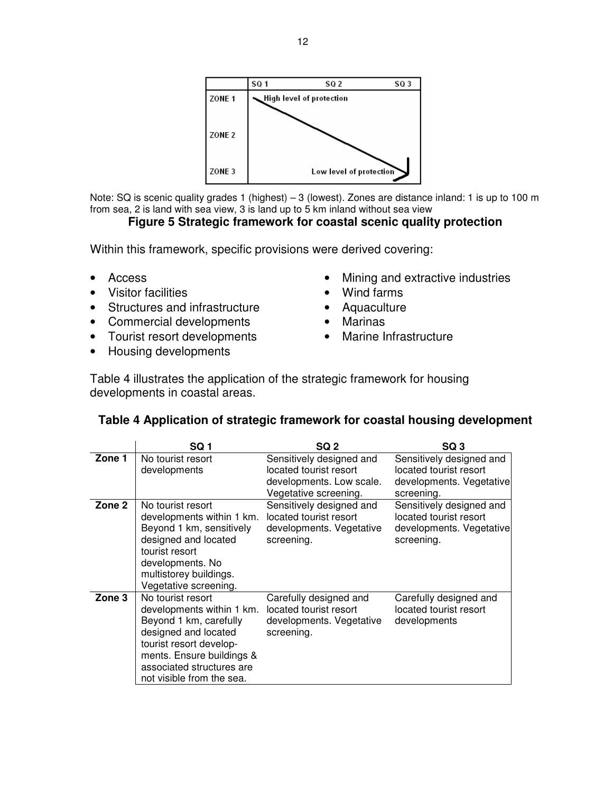

Note: SQ is scenic quality grades 1 (highest) – 3 (lowest). Zones are distance inland: 1 is up to 100 m from sea, 2 is land with sea view, 3 is land up to 5 km inland without sea view

#### **Figure 5 Strategic framework for coastal scenic quality protection**

Within this framework, specific provisions were derived covering:

- Access
- Visitor facilities
- Structures and infrastructure
- Commercial developments
- Tourist resort developments
- Housing developments
- Mining and extractive industries
- Wind farms
- Aquaculture
- Marinas
- Marine Infrastructure

Table 4 illustrates the application of the strategic framework for housing developments in coastal areas.

#### **Table 4 Application of strategic framework for coastal housing development**

|        | SQ <sub>1</sub>                                                                                                                                                                                                    | SQ 2                                                                                                    | SQ <sub>3</sub>                                                                              |
|--------|--------------------------------------------------------------------------------------------------------------------------------------------------------------------------------------------------------------------|---------------------------------------------------------------------------------------------------------|----------------------------------------------------------------------------------------------|
| Zone 1 | No tourist resort<br>developments                                                                                                                                                                                  | Sensitively designed and<br>located tourist resort<br>developments. Low scale.<br>Vegetative screening. | Sensitively designed and<br>located tourist resort<br>developments. Vegetative<br>screening. |
| Zone 2 | No tourist resort<br>developments within 1 km.<br>Beyond 1 km, sensitively<br>designed and located<br>tourist resort<br>developments. No<br>multistorey buildings.<br>Vegetative screening.                        | Sensitively designed and<br>located tourist resort<br>developments. Vegetative<br>screening.            | Sensitively designed and<br>located tourist resort<br>developments. Vegetative<br>screening. |
| Zone 3 | No tourist resort<br>developments within 1 km.<br>Beyond 1 km, carefully<br>designed and located<br>tourist resort develop-<br>ments. Ensure buildings &<br>associated structures are<br>not visible from the sea. | Carefully designed and<br>located tourist resort<br>developments. Vegetative<br>screening.              | Carefully designed and<br>located tourist resort<br>developments                             |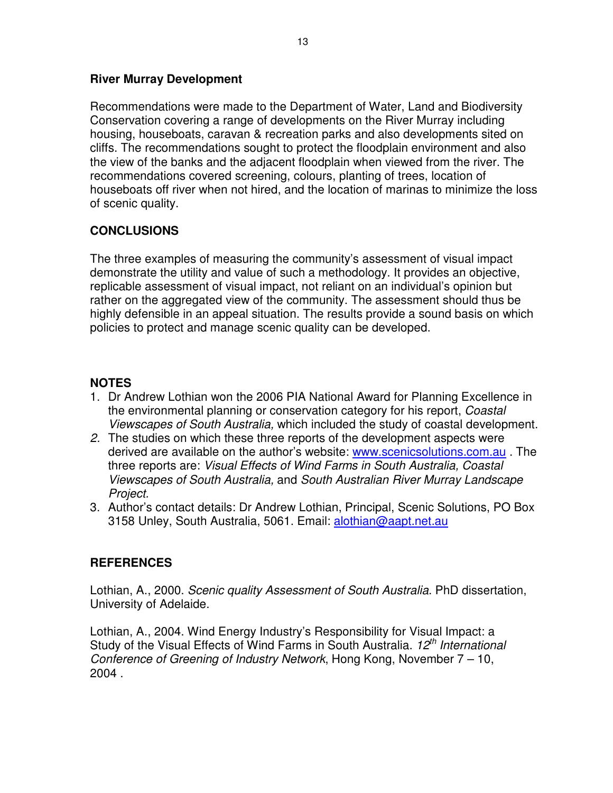#### **River Murray Development**

Recommendations were made to the Department of Water, Land and Biodiversity Conservation covering a range of developments on the River Murray including housing, houseboats, caravan & recreation parks and also developments sited on cliffs. The recommendations sought to protect the floodplain environment and also the view of the banks and the adjacent floodplain when viewed from the river. The recommendations covered screening, colours, planting of trees, location of houseboats off river when not hired, and the location of marinas to minimize the loss of scenic quality.

# **CONCLUSIONS**

The three examples of measuring the community's assessment of visual impact demonstrate the utility and value of such a methodology. It provides an objective, replicable assessment of visual impact, not reliant on an individual's opinion but rather on the aggregated view of the community. The assessment should thus be highly defensible in an appeal situation. The results provide a sound basis on which policies to protect and manage scenic quality can be developed.

# **NOTES**

- 1. Dr Andrew Lothian won the 2006 PIA National Award for Planning Excellence in the environmental planning or conservation category for his report, Coastal Viewscapes of South Australia, which included the study of coastal development.
- 2. The studies on which these three reports of the development aspects were derived are available on the author's website: www.scenicsolutions.com.au . The three reports are: Visual Effects of Wind Farms in South Australia, Coastal Viewscapes of South Australia, and South Australian River Murray Landscape Project.
- 3. Author's contact details: Dr Andrew Lothian, Principal, Scenic Solutions, PO Box 3158 Unley, South Australia, 5061. Email: alothian@aapt.net.au

# **REFERENCES**

Lothian, A., 2000. Scenic quality Assessment of South Australia. PhD dissertation, University of Adelaide.

Lothian, A., 2004. Wind Energy Industry's Responsibility for Visual Impact: a Study of the Visual Effects of Wind Farms in South Australia.  $12<sup>th</sup>$  International Conference of Greening of Industry Network, Hong Kong, November 7 – 10, 2004 .